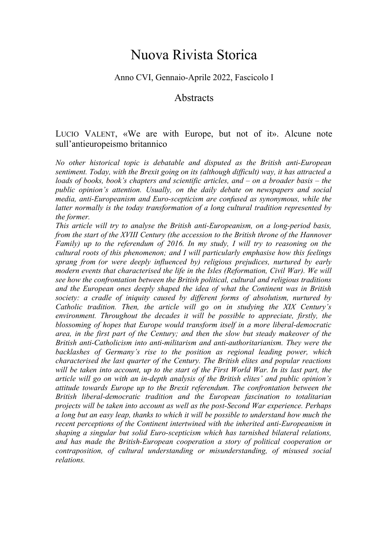## Nuova Rivista Storica

## Anno CVI, Gennaio-Aprile 2022, Fascicolo I

## **Abstracts**

## LUCIO VALENT, «We are with Europe, but not of it». Alcune note sull'antieuropeismo britannico

*No other historical topic is debatable and disputed as the British anti-European sentiment. Today, with the Brexit going on its (although difficult) way, it has attracted a loads of books, book's chapters and scientific articles, and – on a broader basis – the public opinion's attention. Usually, on the daily debate on newspapers and social media, anti-Europeanism and Euro-scepticism are confused as synonymous, while the latter normally is the today transformation of a long cultural tradition represented by the former.*

*This article will try to analyse the British anti-Europeanism, on a long-period basis, from the start of the XVIII Century (the accession to the British throne of the Hannover Family) up to the referendum of 2016. In my study, I will try to reasoning on the cultural roots of this phenomenon; and I will particularly emphasise how this feelings sprang from (or were deeply influenced by) religious prejudices, nurtured by early modern events that characterised the life in the Isles (Reformation, Civil War). We will see how the confrontation between the British political, cultural and religious traditions and the European ones deeply shaped the idea of what the Continent was in British society: a cradle of iniquity caused by different forms of absolutism, nurtured by Catholic tradition. Then, the article will go on in studying the XIX Century's environment. Throughout the decades it will be possible to appreciate, firstly, the blossoming of hopes that Europe would transform itself in a more liberal-democratic area, in the first part of the Century; and then the slow but steady makeover of the British anti-Catholicism into anti-militarism and anti-authoritarianism. They were the backlashes of Germany's rise to the position as regional leading power, which characterised the last quarter of the Century. The British elites and popular reactions will be taken into account, up to the start of the First World War. In its last part, the article will go on with an in-depth analysis of the British elites' and public opinion's attitude towards Europe up to the Brexit referendum. The confrontation between the British liberal-democratic tradition and the European fascination to totalitarian projects will be taken into account as well as the post-Second War experience. Perhaps a long but an easy leap, thanks to which it will be possible to understand how much the recent perceptions of the Continent intertwined with the inherited anti-Europeanism in shaping a singular but solid Euro-scepticism which has tarnished bilateral relations, and has made the British-European cooperation a story of political cooperation or contraposition, of cultural understanding or misunderstanding, of misused social relations.*